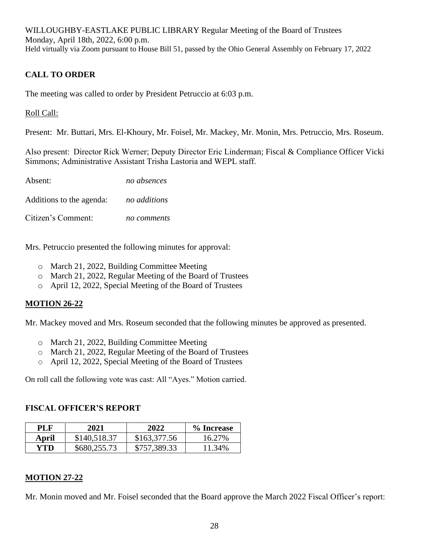## **CALL TO ORDER**

The meeting was called to order by President Petruccio at 6:03 p.m.

Roll Call:

Present: Mr. Buttari, Mrs. El-Khoury, Mr. Foisel, Mr. Mackey, Mr. Monin, Mrs. Petruccio, Mrs. Roseum.

Also present:  Director Rick Werner; Deputy Director Eric Linderman; Fiscal & Compliance Officer Vicki Simmons; Administrative Assistant Trisha Lastoria and WEPL staff.  

| Absent:                  | no absences  |
|--------------------------|--------------|
| Additions to the agenda: | no additions |
| Citizen's Comment:       | no comments  |

Mrs. Petruccio presented the following minutes for approval:

- o March 21, 2022, Building Committee Meeting
- o March 21, 2022, Regular Meeting of the Board of Trustees
- o April 12, 2022, Special Meeting of the Board of Trustees

### **MOTION 26-22**

Mr. Mackey moved and Mrs. Roseum seconded that the following minutes be approved as presented.

- o March 21, 2022, Building Committee Meeting
- o March 21, 2022, Regular Meeting of the Board of Trustees
- o April 12, 2022, Special Meeting of the Board of Trustees

On roll call the following vote was cast: All "Ayes." Motion carried.

### **FISCAL OFFICER'S REPORT**

| PL F  | 2021         | 2022         | % Increase |
|-------|--------------|--------------|------------|
| April | \$140,518.37 | \$163,377.56 | 16.27%     |
| YTD.  | \$680,255.73 | \$757,389.33 | 11.34%     |

### **MOTION 27-22**

Mr. Monin moved and Mr. Foisel seconded that the Board approve the March 2022 Fiscal Officer's report: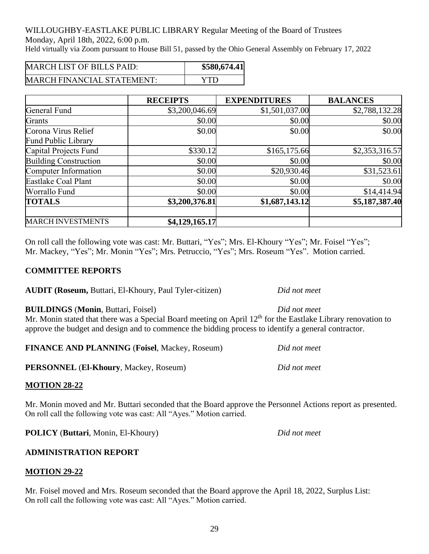WILLOUGHBY-EASTLAKE PUBLIC LIBRARY Regular Meeting of the Board of Trustees Monday, April 18th, 2022, 6:00 p.m.

Held virtually via Zoom pursuant to House Bill 51, passed by the Ohio General Assembly on February 17, 2022

| <b>MARCH LIST OF BILLS PAID:</b>  | \$580,674.41 |
|-----------------------------------|--------------|
| <b>MARCH FINANCIAL STATEMENT:</b> | VTD          |

|                              | <b>RECEIPTS</b> | <b>EXPENDITURES</b> | <b>BALANCES</b> |
|------------------------------|-----------------|---------------------|-----------------|
| General Fund                 | \$3,200,046.69  | \$1,501,037.00      | \$2,788,132.28  |
| Grants                       | \$0.00          | \$0.00              | \$0.00          |
| Corona Virus Relief          | \$0.00          | \$0.00              | \$0.00          |
| <b>Fund Public Library</b>   |                 |                     |                 |
| Capital Projects Fund        | \$330.12        | \$165,175.66        | \$2,353,316.57  |
| <b>Building Construction</b> | \$0.00          | \$0.00              | \$0.00          |
| Computer Information         | \$0.00          | \$20,930.46         | \$31,523.61     |
| <b>Eastlake Coal Plant</b>   | \$0.00          | \$0.00              | \$0.00          |
| Worrallo Fund                | \$0.00          | \$0.00              | \$14,414.94     |
| <b>TOTALS</b>                | \$3,200,376.81  | \$1,687,143.12      | \$5,187,387.40  |
| <b>MARCH INVESTMENTS</b>     | \$4,129,165.17  |                     |                 |

On roll call the following vote was cast: Mr. Buttari, "Yes"; Mrs. El-Khoury "Yes"; Mr. Foisel "Yes"; Mr. Mackey, "Yes"; Mr. Monin "Yes"; Mrs. Petruccio, "Yes"; Mrs. Roseum "Yes". Motion carried.

## **COMMITTEE REPORTS**

**AUDIT (Roseum,** Buttari, El-Khoury, Paul Tyler-citizen) *Did not meet*

### **BUILDINGS** (**Monin**, Buttari, Foisel) *Did not meet*

Mr. Monin stated that there was a Special Board meeting on April 12<sup>th</sup> for the Eastlake Library renovation to approve the budget and design and to commence the bidding process to identify a general contractor.

**FINANCE AND PLANNING** (**Foisel**, Mackey, Roseum) *Did not meet*

**PERSONNEL** (**El-Khoury**, Mackey, Roseum) *Did not meet*

## **MOTION 28-22**

Mr. Monin moved and Mr. Buttari seconded that the Board approve the Personnel Actions report as presented. On roll call the following vote was cast: All "Ayes." Motion carried.

**POLICY** (**Buttari**, Monin, El-Khoury) *Did not meet*

## **ADMINISTRATION REPORT**

## **MOTION 29-22**

Mr. Foisel moved and Mrs. Roseum seconded that the Board approve the April 18, 2022, Surplus List: On roll call the following vote was cast: All "Ayes." Motion carried.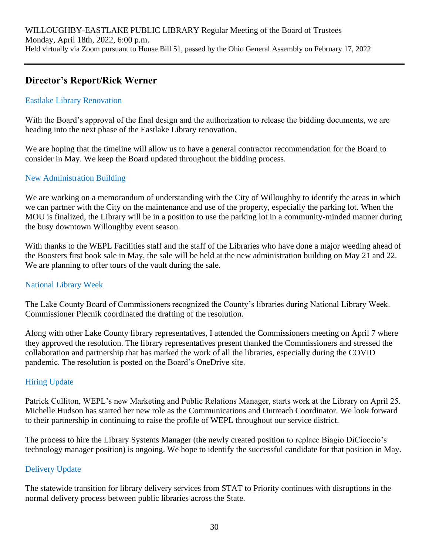# **Director's Report/Rick Werner**

## Eastlake Library Renovation

With the Board's approval of the final design and the authorization to release the bidding documents, we are heading into the next phase of the Eastlake Library renovation.

We are hoping that the timeline will allow us to have a general contractor recommendation for the Board to consider in May. We keep the Board updated throughout the bidding process.

## New Administration Building

We are working on a memorandum of understanding with the City of Willoughby to identify the areas in which we can partner with the City on the maintenance and use of the property, especially the parking lot. When the MOU is finalized, the Library will be in a position to use the parking lot in a community-minded manner during the busy downtown Willoughby event season.

With thanks to the WEPL Facilities staff and the staff of the Libraries who have done a major weeding ahead of the Boosters first book sale in May, the sale will be held at the new administration building on May 21 and 22. We are planning to offer tours of the vault during the sale.

### National Library Week

The Lake County Board of Commissioners recognized the County's libraries during National Library Week. Commissioner Plecnik coordinated the drafting of the resolution.

Along with other Lake County library representatives, I attended the Commissioners meeting on April 7 where they approved the resolution. The library representatives present thanked the Commissioners and stressed the collaboration and partnership that has marked the work of all the libraries, especially during the COVID pandemic. The resolution is posted on the Board's OneDrive site.

### Hiring Update

Patrick Culliton, WEPL's new Marketing and Public Relations Manager, starts work at the Library on April 25. Michelle Hudson has started her new role as the Communications and Outreach Coordinator. We look forward to their partnership in continuing to raise the profile of WEPL throughout our service district.

The process to hire the Library Systems Manager (the newly created position to replace Biagio DiCioccio's technology manager position) is ongoing. We hope to identify the successful candidate for that position in May.

## Delivery Update

The statewide transition for library delivery services from STAT to Priority continues with disruptions in the normal delivery process between public libraries across the State.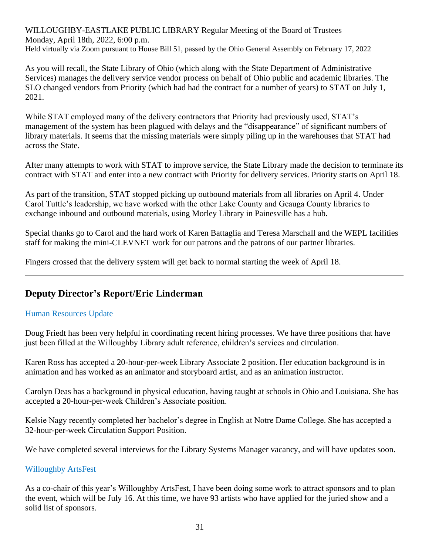As you will recall, the State Library of Ohio (which along with the State Department of Administrative Services) manages the delivery service vendor process on behalf of Ohio public and academic libraries. The SLO changed vendors from Priority (which had had the contract for a number of years) to STAT on July 1, 2021.

While STAT employed many of the delivery contractors that Priority had previously used, STAT's management of the system has been plagued with delays and the "disappearance" of significant numbers of library materials. It seems that the missing materials were simply piling up in the warehouses that STAT had across the State.

After many attempts to work with STAT to improve service, the State Library made the decision to terminate its contract with STAT and enter into a new contract with Priority for delivery services. Priority starts on April 18.

As part of the transition, STAT stopped picking up outbound materials from all libraries on April 4. Under Carol Tuttle's leadership, we have worked with the other Lake County and Geauga County libraries to exchange inbound and outbound materials, using Morley Library in Painesville has a hub.

Special thanks go to Carol and the hard work of Karen Battaglia and Teresa Marschall and the WEPL facilities staff for making the mini-CLEVNET work for our patrons and the patrons of our partner libraries.

Fingers crossed that the delivery system will get back to normal starting the week of April 18.

## **Deputy Director's Report/Eric Linderman**

### Human Resources Update

Doug Friedt has been very helpful in coordinating recent hiring processes. We have three positions that have just been filled at the Willoughby Library adult reference, children's services and circulation.

Karen Ross has accepted a 20-hour-per-week Library Associate 2 position. Her education background is in animation and has worked as an animator and storyboard artist, and as an animation instructor.

Carolyn Deas has a background in physical education, having taught at schools in Ohio and Louisiana. She has accepted a 20-hour-per-week Children's Associate position.

Kelsie Nagy recently completed her bachelor's degree in English at Notre Dame College. She has accepted a 32-hour-per-week Circulation Support Position.

We have completed several interviews for the Library Systems Manager vacancy, and will have updates soon.

#### Willoughby ArtsFest

As a co-chair of this year's Willoughby ArtsFest, I have been doing some work to attract sponsors and to plan the event, which will be July 16. At this time, we have 93 artists who have applied for the juried show and a solid list of sponsors.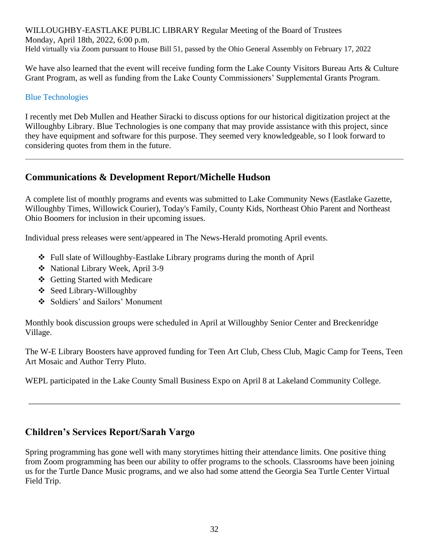We have also learned that the event will receive funding form the Lake County Visitors Bureau Arts & Culture Grant Program, as well as funding from the Lake County Commissioners' Supplemental Grants Program.

### Blue Technologies

I recently met Deb Mullen and Heather Siracki to discuss options for our historical digitization project at the Willoughby Library. Blue Technologies is one company that may provide assistance with this project, since they have equipment and software for this purpose. They seemed very knowledgeable, so I look forward to considering quotes from them in the future.

## **Communications & Development Report/Michelle Hudson**

A complete list of monthly programs and events was submitted to Lake Community News (Eastlake Gazette, Willoughby Times, Willowick Courier), Today's Family, County Kids, Northeast Ohio Parent and Northeast Ohio Boomers for inclusion in their upcoming issues.

Individual press releases were sent/appeared in The News-Herald promoting April events.

- ❖ Full slate of Willoughby-Eastlake Library programs during the month of April
- ❖ National Library Week, April 3-9
- ❖ Getting Started with Medicare
- ❖ Seed Library-Willoughby
- ❖ Soldiers' and Sailors' Monument

Monthly book discussion groups were scheduled in April at Willoughby Senior Center and Breckenridge Village.

The W-E Library Boosters have approved funding for Teen Art Club, Chess Club, Magic Camp for Teens, Teen Art Mosaic and Author Terry Pluto.

WEPL participated in the Lake County Small Business Expo on April 8 at Lakeland Community College.

## **Children's Services Report/Sarah Vargo**

Spring programming has gone well with many storytimes hitting their attendance limits. One positive thing from Zoom programming has been our ability to offer programs to the schools. Classrooms have been joining us for the Turtle Dance Music programs, and we also had some attend the Georgia Sea Turtle Center Virtual Field Trip.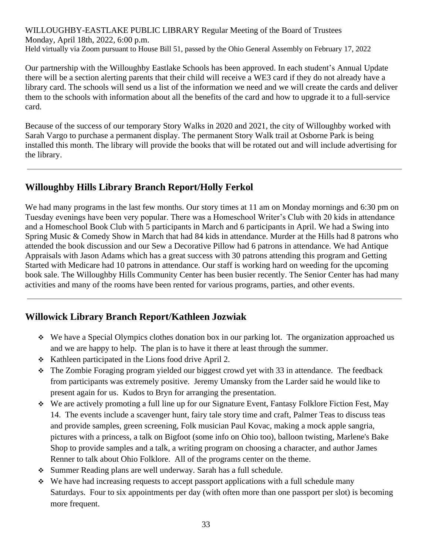Our partnership with the Willoughby Eastlake Schools has been approved. In each student's Annual Update there will be a section alerting parents that their child will receive a WE3 card if they do not already have a library card. The schools will send us a list of the information we need and we will create the cards and deliver them to the schools with information about all the benefits of the card and how to upgrade it to a full-service card.

Because of the success of our temporary Story Walks in 2020 and 2021, the city of Willoughby worked with Sarah Vargo to purchase a permanent display. The permanent Story Walk trail at Osborne Park is being installed this month. The library will provide the books that will be rotated out and will include advertising for the library.

# **Willoughby Hills Library Branch Report/Holly Ferkol**

We had many programs in the last few months. Our story times at 11 am on Monday mornings and 6:30 pm on Tuesday evenings have been very popular. There was a Homeschool Writer's Club with 20 kids in attendance and a Homeschool Book Club with 5 participants in March and 6 participants in April. We had a Swing into Spring Music & Comedy Show in March that had 84 kids in attendance. Murder at the Hills had 8 patrons who attended the book discussion and our Sew a Decorative Pillow had 6 patrons in attendance. We had Antique Appraisals with Jason Adams which has a great success with 30 patrons attending this program and Getting Started with Medicare had 10 patrons in attendance. Our staff is working hard on weeding for the upcoming book sale. The Willoughby Hills Community Center has been busier recently. The Senior Center has had many activities and many of the rooms have been rented for various programs, parties, and other events.

# **Willowick Library Branch Report/Kathleen Jozwiak**

- ❖ We have a Special Olympics clothes donation box in our parking lot. The organization approached us and we are happy to help. The plan is to have it there at least through the summer.
- ❖ Kathleen participated in the Lions food drive April 2.
- ❖ The Zombie Foraging program yielded our biggest crowd yet with 33 in attendance. The feedback from participants was extremely positive. Jeremy Umansky from the Larder said he would like to present again for us. Kudos to Bryn for arranging the presentation.
- ❖ We are actively promoting a full line up for our Signature Event, Fantasy Folklore Fiction Fest, May 14. The events include a scavenger hunt, fairy tale story time and craft, Palmer Teas to discuss teas and provide samples, green screening, Folk musician Paul Kovac, making a mock apple sangria, pictures with a princess, a talk on Bigfoot (some info on Ohio too), balloon twisting, Marlene's Bake Shop to provide samples and a talk, a writing program on choosing a character, and author James Renner to talk about Ohio Folklore. All of the programs center on the theme.
- ❖ Summer Reading plans are well underway. Sarah has a full schedule.
- ❖ We have had increasing requests to accept passport applications with a full schedule many Saturdays. Four to six appointments per day (with often more than one passport per slot) is becoming more frequent.